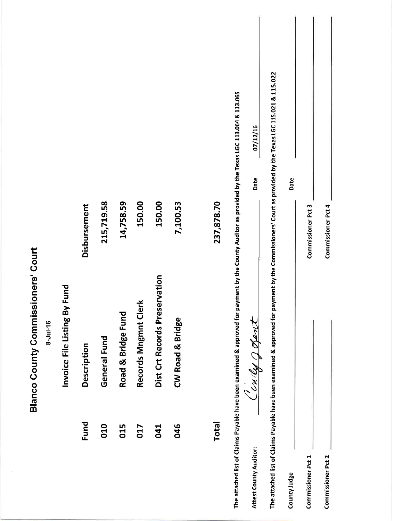|                                           |          |                              |              |              |                    |                      |                               |                  |              |                                                                                                                                                    | 07/12/16<br>Date       |                                                                                                                                                          |              |                    |                           |  |
|-------------------------------------------|----------|------------------------------|--------------|--------------|--------------------|----------------------|-------------------------------|------------------|--------------|----------------------------------------------------------------------------------------------------------------------------------------------------|------------------------|----------------------------------------------------------------------------------------------------------------------------------------------------------|--------------|--------------------|---------------------------|--|
|                                           |          |                              | Disbursement | 215,719.58   | 14,758.59          | 150.00               | 150.00                        | 7,100.53         | 237,878.70   |                                                                                                                                                    |                        |                                                                                                                                                          | Date         | Commissioner Pct 3 | <b>Commissioner Pct 4</b> |  |
| <b>Blanco County Commissioners' Court</b> | 8-Jul-16 | Invoice File Listing By Fund | Description  | General Fund | Road & Bridge Fund | Records Mngmnt Clerk | Dist Crt Records Preservation | CW Road & Bridge |              | The attached list of Claims Payable have been examined & approved for payment by the County Auditor as provided by the Texas LGC 113.064 & 113.065 | Cindy gopont           | The attached list of Claims Payable have been examined & approved for payment by the Commissioners' Court as provided by the Texas LGC 115.021 & 115.022 |              |                    |                           |  |
|                                           |          |                              | Fund         | 010          | 015                | 017                  | 041                           | 046              | <b>Total</b> |                                                                                                                                                    | Attest County Auditor: |                                                                                                                                                          | County Judge | Commissioner Pct 1 | Commissioner Pct 2        |  |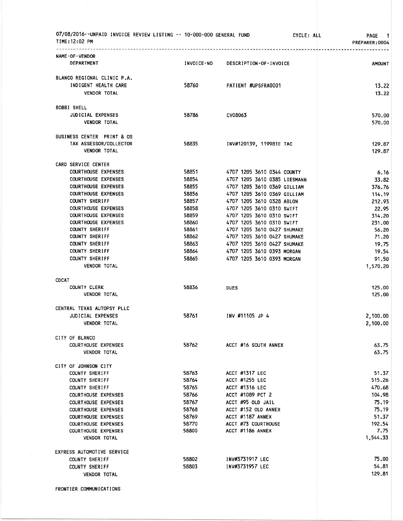| 07/08/2016--UNPAID INVOICE REVIEW LISTING -- 10-000-000 GENERAL FUND<br>TIME:12:02 PM                                                                                                                                                                                                                                                                                                                                                                                                                                                        |                                                                                                                                     | CYCLE: ALL                                                                                                                                                                                                                                                                                                                                                                                                                              | <b>PAGE</b><br>$\overline{\phantom{0}}$<br>PREPARER: 0004                                                                                                                     |
|----------------------------------------------------------------------------------------------------------------------------------------------------------------------------------------------------------------------------------------------------------------------------------------------------------------------------------------------------------------------------------------------------------------------------------------------------------------------------------------------------------------------------------------------|-------------------------------------------------------------------------------------------------------------------------------------|-----------------------------------------------------------------------------------------------------------------------------------------------------------------------------------------------------------------------------------------------------------------------------------------------------------------------------------------------------------------------------------------------------------------------------------------|-------------------------------------------------------------------------------------------------------------------------------------------------------------------------------|
| NAME-OF-VENDOR<br>DEPARTMENT                                                                                                                                                                                                                                                                                                                                                                                                                                                                                                                 | INVOICE-NO                                                                                                                          | DESCRIPTION-OF-INVOICE                                                                                                                                                                                                                                                                                                                                                                                                                  | <b>AMOUNT</b>                                                                                                                                                                 |
| BLANCO REGIONAL CLINIC P.A.<br>INDIGENT HEALTH CARE<br><b>VENDOR TOTAL</b>                                                                                                                                                                                                                                                                                                                                                                                                                                                                   | 58760                                                                                                                               | PATIENT #UPSFRA0001                                                                                                                                                                                                                                                                                                                                                                                                                     | 13.22<br>13.22                                                                                                                                                                |
| BOBBI SHELL<br><b>JUDICIAL EXPENSES</b><br><b>VENDOR TOTAL</b>                                                                                                                                                                                                                                                                                                                                                                                                                                                                               | 58786                                                                                                                               | CV08063                                                                                                                                                                                                                                                                                                                                                                                                                                 | 570.00<br>570.00                                                                                                                                                              |
| BUSINESS CENTER PRINT & OS<br>TAX ASSESSOR/COLLECTOR<br><b>VENDOR TOTAL</b>                                                                                                                                                                                                                                                                                                                                                                                                                                                                  | 58835                                                                                                                               | INV#120139, 119981E TAC                                                                                                                                                                                                                                                                                                                                                                                                                 | 129.87<br>129.87                                                                                                                                                              |
| CARD SERVICE CENTER<br><b>COURTHOUSE EXPENSES</b><br><b>COURTHOUSE EXPENSES</b><br><b>COURTHOUSE EXPENSES</b><br><b>COURTHOUSE EXPENSES</b><br>COUNTY SHERIFF<br><b>COURTHOUSE EXPENSES</b><br><b>COURTHOUSE EXPENSES</b><br><b>COURTHOUSE EXPENSES</b><br><b>COUNTY SHERIFF</b><br><b>COUNTY SHERIFF</b><br><b>COUNTY SHERIFF</b><br><b>COUNTY SHERIFF</b><br><b>COUNTY SHERIFF</b><br>VENDOR TOTAL<br><b>CDCAT</b><br>COUNTY CLERK<br><b>VENDOR TOTAL</b><br>CENTRAL TEXAS AUTOPSY PLLC<br><b>JUDICIAL EXPENSES</b><br><b>VENDOR TOTAL</b> | 58851<br>58854<br>58855<br>58856<br>58857<br>58858<br>58859<br>58860<br>58861<br>58862<br>58863<br>58864<br>58865<br>58836<br>58761 | 4707 1205 3610 0344 COUNTY<br>4707 1205 3610 0385 LIESMANN<br>4707 1205 3610 0369 GILLIAM<br>4707 1205 3610 0369 GILLIAM<br>4707 1205 3610 0328 ABLON<br>4707 1205 3610 0310 SWIFT<br>4707 1205 3610 0310 SWIFT<br>4707 1205 3610 0310 SWIFT<br>4707 1205 3610 0427 SHUMAKE<br>4707 1205 3610 0427 SHUMAKE<br>4707 1205 3610 0427 SHUMAKE<br>4707 1205 3610 0393 MORGAN<br>4707 1205 3610 0393 MORGAN<br><b>DUES</b><br>INV #11105 JP 4 | 6.16<br>33.82<br>376.76<br>114.19<br>212.93<br>22.95<br>314.20<br>231.00<br>56.20<br>71.20<br>19.75<br>19.54<br>91.50<br>1,570.20<br>125.00<br>125.00<br>2,100.00<br>2,100.00 |
| CITY OF BLANCO<br><b>COURTHOUSE EXPENSES</b><br><b>VENDOR TOTAL</b>                                                                                                                                                                                                                                                                                                                                                                                                                                                                          | 58762                                                                                                                               | ACCT #16 SOUTH ANNEX                                                                                                                                                                                                                                                                                                                                                                                                                    | 63.75<br>63.75                                                                                                                                                                |
| CITY OF JOHNSON CITY<br>COUNTY SHERIFF<br>COUNTY SHERIFF<br>COUNTY SHERIFF<br><b>COURTHOUSE EXPENSES</b><br><b>COURTHOUSE EXPENSES</b><br><b>COURTHOUSE EXPENSES</b><br><b>COURTHOUSE EXPENSES</b><br><b>COURTHOUSE EXPENSES</b><br><b>COURTHOUSE EXPENSES</b><br><b>VENDOR TOTAL</b>                                                                                                                                                                                                                                                        | 58763<br>58764<br>58765<br>58766<br>58767<br>58768<br>58769<br>58770<br>58800                                                       | ACCT #1317 LEC<br>ACCT #1255 LEC<br><b>ACCT #1316 LEC</b><br>ACCT #1089 PCT 2<br>ACCT #95 OLD JAIL<br>ACCT #152 OLD ANNEX<br>ACCT #1187 ANNEX<br>ACCT #73 COURTHOUSE<br>ACCT #1186 ANNEX                                                                                                                                                                                                                                                | 51.37<br>515.26<br>470.68<br>104.98<br>75.19<br>75.19<br>51.37<br>192.54<br>7.75<br>1,544.33                                                                                  |
| EXPRESS AUTOMOTIVE SERVICE<br>COUNTY SHERIFF<br>COUNTY SHERIFF<br><b>VENDOR TOTAL</b>                                                                                                                                                                                                                                                                                                                                                                                                                                                        | 58802<br>58803                                                                                                                      | INV#3731917 LEC<br>INV#3731957 LEC                                                                                                                                                                                                                                                                                                                                                                                                      | 75.00<br>54.81<br>129.81                                                                                                                                                      |

FRONTIER COMMUNICATIONS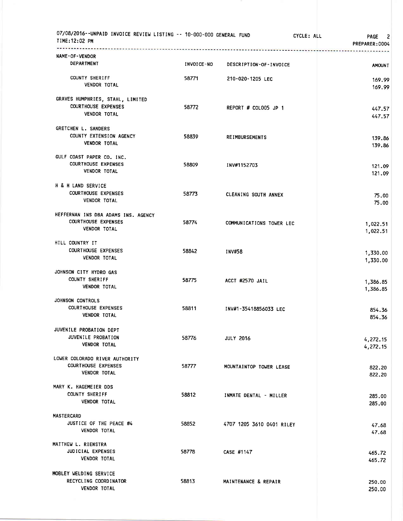| 07/08/2016--UNPAID INVOICE REVIEW LISTING -- 10-000-000 GENERAL FUND<br>TIME:12:02 PM<br>----------- |                   |                           | CYCLE: ALL<br><b>PAGE</b><br>-2<br>PREPARER: 0004 |
|------------------------------------------------------------------------------------------------------|-------------------|---------------------------|---------------------------------------------------|
| NAME-OF-VENDOR<br><b>DEPARTMENT</b>                                                                  | <b>INVOICE-NO</b> | DESCRIPTION-OF-INVOICE    | <b>AMOUNT</b>                                     |
| COUNTY SHERIFF<br><b>VENDOR TOTAL</b>                                                                | 58771             | 210-020-1205 LEC          | 169.99<br>169.99                                  |
| GRAVES HUMPHRIES, STAHL, LIMITED<br><b>COURTHOUSE EXPENSES</b><br><b>VENDOR TOTAL</b>                | 58772             | REPORT # COLOO5 JP 1      | 447.57<br>447.57                                  |
| <b>GRETCHEN L. SANDERS</b><br>COUNTY EXTENSION AGENCY<br><b>VENDOR TOTAL</b>                         | 58839             | <b>REIMBURSEMENTS</b>     | 139.86<br>139.86                                  |
| GULF COAST PAPER CO. INC.<br><b>COURTHOUSE EXPENSES</b><br><b>VENDOR TOTAL</b>                       | 58809             | INV#1152703               | 121.09<br>121.09                                  |
| H & H LAND SERVICE<br><b>COURTHOUSE EXPENSES</b><br><b>VENDOR TOTAL</b>                              | 58773             | CLEANING SOUTH ANNEX      | 75.00<br>75.00                                    |
| HEFFERNAN INS DBA ADAMS INS. AGENCY<br><b>COURTHOUSE EXPENSES</b><br><b>VENDOR TOTAL</b>             | 58774             | COMMUNICATIONS TOWER LEC  | 1,022.51<br>1,022.51                              |
| HILL COUNTRY IT<br><b>COURTHOUSE EXPENSES</b><br>VENDOR TOTAL                                        | 58842             | <b>INV#58</b>             | 1,330.00<br>1,330.00                              |
| JOHNSON CITY HYDRO GAS<br>COUNTY SHERIFF<br><b>VENDOR TOTAL</b>                                      | 58775             | ACCT #2570 JAIL           | 1,386.85<br>1,386.85                              |
| JOHNSON CONTROLS<br><b>COURTHOUSE EXPENSES</b><br><b>VENDOR TOTAL</b>                                | 58811             | INV#1-35418856033 LEC     | 854.36<br>854.36                                  |
| JUVENILE PROBATION DEPT<br>JUVENILE PROBATION<br><b>VENDOR TOTAL</b>                                 | 58776             | <b>JULY 2016</b>          | 4,272.15<br>4,272.15                              |
| LOWER COLORADO RIVER AUTHORITY<br><b>COURTHOUSE EXPENSES</b><br><b>VENDOR TOTAL</b>                  | 58777             | MOUNTAINTOP TOWER LEASE   | 822.20<br>822.20                                  |
| MARY K. HAGEMEIER DDS<br>COUNTY SHERIFF<br><b>VENDOR TOTAL</b>                                       | 58812             | INMATE DENTAL - MILLER    | 285.00<br>285.00                                  |
| <b>MASTERCARD</b><br>JUSTICE OF THE PEACE #4<br><b>VENDOR TOTAL</b>                                  | 58852             | 4707 1205 3610 0401 RILEY | 47.68<br>47.68                                    |
| MATTHEW L. RIENSTRA<br><b>JUDICIAL EXPENSES</b><br><b>VENDOR TOTAL</b>                               | 58778             | CASE #1147                | 465.72<br>465.72                                  |
| MOBLEY WELDING SERVICE<br>RECYCLING COORDINATOR<br>VENDOR TOTAL                                      | 58813             | MAINTENANCE & REPAIR      | 250.00<br>250.00                                  |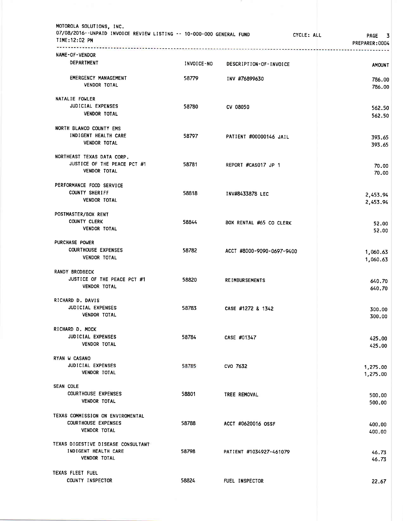| MOTOROLA SOLUTIONS, INC.<br>07/08/2016--UNPAID INVOICE REVIEW LISTING -- 10-000-000 GENERAL FUND<br>TIME:12:02 PM |            |                           | CYCLE: ALL<br>PAGE<br>3<br>PREPARER:0004 |
|-------------------------------------------------------------------------------------------------------------------|------------|---------------------------|------------------------------------------|
| NAME-OF-VENDOR                                                                                                    |            | **********************    |                                          |
| DEPARTMENT                                                                                                        | INVOICE-NO | DESCRIPTION-OF-INVOICE    | <b>AMOUNT</b>                            |
| <b>EMERGENCY MANAGEMENT</b><br><b>VENDOR TOTAL</b>                                                                | 58779      | INV #76899630             | 786.00<br>786.00                         |
| NATALIE FOWLER<br>JUDICIAL EXPENSES<br><b>VENDOR TOTAL</b>                                                        | 58780      | CV 08050                  | 562.50<br>562.50                         |
| NORTH BLANCO COUNTY EMS<br>INDIGENT HEALTH CARE<br><b>VENDOR TOTAL</b>                                            | 58797      | PATIENT #00000146 JAIL    | 393.65<br>393.65                         |
| NORTHEAST TEXAS DATA CORP.<br>JUSTICE OF THE PEACE PCT #1<br><b>VENDOR TOTAL</b>                                  | 58781      | REPORT #CAS017 JP 1       | 70.00<br>70.00                           |
| PERFORMANCE FOOD SERVICE<br><b>COUNTY SHERIFF</b><br><b>VENDOR TOTAL</b>                                          | 58818      | INV#8433878 LEC           | 2,453.94<br>2,453.94                     |
| POSTMASTER/BOX RENT<br><b>COUNTY CLERK</b><br><b>VENDOR TOTAL</b>                                                 | 58844      | BOX RENTAL #65 CO CLERK   | 52.00<br>52.00                           |
| PURCHASE POWER<br><b>COURTHOUSE EXPENSES</b><br><b>VENDOR TOTAL</b>                                               | 58782      | ACCT #8000-9090-0697-9400 | 1,060.63<br>1,060.63                     |
| <b>RANDY BRODBECK</b><br>JUSTICE OF THE PEACE PCT #1<br><b>VENDOR TOTAL</b>                                       | 58820      | <b>REIMBURSEMENTS</b>     | 640.70<br>640.70                         |
| RICHARD D. DAVIS<br>JUDICIAL EXPENSES<br><b>VENDOR TOTAL</b>                                                      | 58783      | CASE #1272 & 1342         | 300.00<br>300.00                         |
| RICHARD D. MOCK<br>JUDICIAL EXPENSES<br><b>VENDOR TOTAL</b>                                                       | 58784      | CASE #01347               | 425.00<br>425.00                         |
| RYAN W CASANO<br>JUDICIAL EXPENSES<br><b>VENDOR TOTAL</b>                                                         | 58785      | CVO 7632                  | 1,275.00<br>1,275.00                     |
| <b>SEAN COLE</b><br><b>COURTHOUSE EXPENSES</b><br><b>VENDOR TOTAL</b>                                             | 58801      | TREE REMOVAL              | 500.00<br>500.00                         |
| TEXAS COMMISSION ON ENVIROMENTAL<br><b>COURTHOUSE EXPENSES</b><br>VENDOR TOTAL                                    | 58788      | ACCT #0620016 OSSF        | 400.00<br>400.00                         |
| TEXAS DIGESTIVE DISEASE CONSULTANT<br>INDIGENT HEALTH CARE<br><b>VENDOR TOTAL</b>                                 | 58798      | PATIENT #1034927-461079   | 46.73<br>46.73                           |
| TEXAS FLEET FUEL<br>COUNTY INSPECTOR                                                                              | 58824      | FUEL INSPECTOR            | 22.67                                    |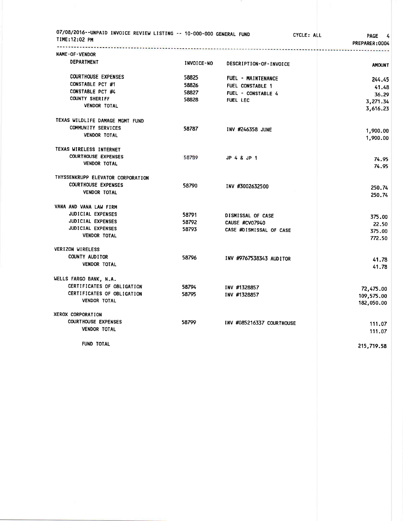| 07/08/2016--UNPAID INVOICE REVIEW LISTING -- 10-000-000 GENERAL FUND<br>TIME:12:02 PM<br>------------ |                   |                           | CYCLE: ALL<br><b>PAGE</b><br>4<br>PREPARER: 0004 |
|-------------------------------------------------------------------------------------------------------|-------------------|---------------------------|--------------------------------------------------|
| <b>NAME-OF-VENDOR</b>                                                                                 |                   |                           |                                                  |
| DEPARTMENT                                                                                            | <b>INVOICE-NO</b> | DESCRIPTION-OF-INVOICE    | <b>AMOUNT</b>                                    |
| <b>COURTHOUSE EXPENSES</b>                                                                            | 58825             | FUEL - MAINTENANCE        | 244.45                                           |
| CONSTABLE PCT #1                                                                                      | 58826             | FUEL CONSTABLE 1          | 41.48                                            |
| CONSTABLE PCT #4                                                                                      | 58827             | FUEL - CONSTABLE 4        | 36.29                                            |
| <b>COUNTY SHERIFF</b>                                                                                 | 58828             | <b>FUEL LEC</b>           | 3,271.34                                         |
| <b>VENDOR TOTAL</b>                                                                                   |                   |                           | 3,616.23                                         |
| TEXAS WILDLIFE DAMAGE MGMT FUND                                                                       |                   |                           |                                                  |
| COMMUNITY SERVICES                                                                                    | 58787             | INV #246358 JUNE          | 1,900.00                                         |
| <b>VENDOR TOTAL</b>                                                                                   |                   |                           | 1,900.00                                         |
| TEXAS WIRELESS INTERNET                                                                               |                   |                           |                                                  |
| <b>COURTHOUSE EXPENSES</b>                                                                            | 58789             | JP 4 & JP 1               | 74.95                                            |
| <b>VENDOR TOTAL</b>                                                                                   |                   |                           | 74.95                                            |
| THYSSENKRUPP ELEVATOR CORPORATION                                                                     |                   |                           |                                                  |
| <b>COURTHOUSE EXPENSES</b>                                                                            | 58790             | INV #3002632500           | 250.74                                           |
| VENDOR TOTAL                                                                                          |                   |                           | 250.74                                           |
| VANA AND VANA LAW FIRM                                                                                |                   |                           |                                                  |
| <b>JUDICIAL EXPENSES</b>                                                                              | 58791             | DISMISSAL OF CASE         | 375.00                                           |
| JUDICIAL EXPENSES                                                                                     | 58792             | CAUSE #CV07940            | 22.50                                            |
| JUDICIAL EXPENSES                                                                                     | 58793             | CASE #DISMISSAL OF CASE   | 375.00                                           |
| <b>VENDOR TOTAL</b>                                                                                   |                   |                           | 772.50                                           |
| <b>VERIZON WIRELESS</b>                                                                               |                   |                           |                                                  |
| COUNTY AUDITOR                                                                                        | 58796             | INV #9767538343 AUDITOR   | 41.78                                            |
| <b>VENDOR TOTAL</b>                                                                                   |                   |                           | 41.78                                            |
| WELLS FARGO BANK, N.A.                                                                                |                   |                           |                                                  |
| CERTIFICATES OF OBLIGATION                                                                            | 58794             | INV #1328857              | 72,475.00                                        |
| CERTIFICATES OF OBLIGATION                                                                            | 58795             | INV #1328857              | 109,575.00                                       |
| <b>VENDOR TOTAL</b>                                                                                   |                   |                           | 182,050.00                                       |
| XEROX CORPORATION                                                                                     |                   |                           |                                                  |
| <b>COURTHOUSE EXPENSES</b>                                                                            | 58799             | INV #085216337 COURTHOUSE | 111.07                                           |
| <b>VENDOR TOTAL</b>                                                                                   |                   |                           | 111.07                                           |
| FUND TOTAL                                                                                            |                   |                           | <b>215 710 58</b>                                |

215,719.58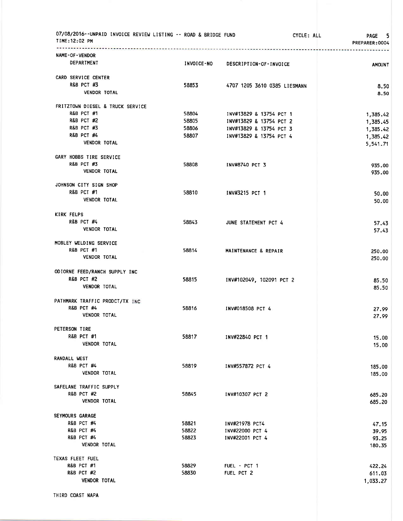| 07/08/2016--UNPAID INVOICE REVIEW LISTING -- ROAD & BRIDGE FUND<br>TIME:12:02 PM<br>. <del>.</del> |                | CYCLE: ALL                   | -5<br><b>PAGE</b><br>PREPARER: 0004 |
|----------------------------------------------------------------------------------------------------|----------------|------------------------------|-------------------------------------|
| NAME-OF-VENDOR                                                                                     |                |                              |                                     |
| DEPARTMENT                                                                                         | INVOICE-NO     | DESCRIPTION-OF-INVOICE       | <b>AMOUNT</b>                       |
| CARD SERVICE CENTER                                                                                |                |                              |                                     |
| <b>R&amp;B PCT #3</b>                                                                              | 58853          | 4707 1205 3610 0385 LIESMANN | 8.50                                |
| <b>VENDOR TOTAL</b>                                                                                |                |                              | 8.50                                |
| FRITZTOWN DIESEL & TRUCK SERVICE                                                                   |                |                              |                                     |
| <b>R&amp;B PCT #1</b>                                                                              | 58804          | INV#13829 & 13754 PCT 1      | 1,385.42                            |
| <b>R&amp;B PCT #2</b>                                                                              | 58805          | INV#13829 & 13754 PCT 2      | 1,385.45                            |
| <b>R&amp;B PCT #3</b><br><b>R&amp;B PCT #4</b>                                                     | 58806          | INV#13829 & 13754 PCT 3      | 1,385.42                            |
| <b>VENDOR TOTAL</b>                                                                                | 58807          | INV#13829 & 13754 PCT 4      | 1,385.42<br>5,541.71                |
| GARY HOBBS TIRE SERVICE                                                                            |                |                              |                                     |
| <b>R&amp;B PCT #3</b>                                                                              | 58808          | INV#8740 PCT 3               | 935.00                              |
| <b>VENDOR TOTAL</b>                                                                                |                |                              | 935.00                              |
| JOHNSON CITY SIGN SHOP                                                                             |                |                              |                                     |
| <b>R&amp;B PCT #1</b><br><b>VENDOR TOTAL</b>                                                       | 58810          | INV#3215 PCT 1               | 50.00                               |
|                                                                                                    |                |                              | 50.00                               |
| <b>KIRK FELPS</b>                                                                                  |                |                              |                                     |
| <b>R&amp;B PCT #4</b><br><b>VENDOR TOTAL</b>                                                       | 58843          | JUNE STATEMENT PCT 4         | 57.43<br>57.43                      |
| MOBLEY WELDING SERVICE                                                                             |                |                              |                                     |
| <b>R&amp;B PCT #1</b>                                                                              | 58814          | MAINTENANCE & REPAIR         | 250.00                              |
| <b>VENDOR TOTAL</b>                                                                                |                |                              | 250,00                              |
| ODIORNE FEED/RANCH SUPPLY INC                                                                      |                |                              |                                     |
| <b>R&amp;B PCT #2</b>                                                                              | 58815          | INV#102049, 102091 PCT 2     | 85.50                               |
| <b>VENDOR TOTAL</b>                                                                                |                |                              | 85.50                               |
| PATHMARK TRAFFIC PRODCT/TX INC                                                                     |                |                              |                                     |
| <b>R&amp;B PCT #4</b>                                                                              | 58816          | INV#018508 PCT 4             | 27.99                               |
| <b>VENDOR TOTAL</b>                                                                                |                |                              | 27.99                               |
| PETERSON TIRE                                                                                      |                |                              |                                     |
| <b>R&amp;B PCT #1</b><br><b>VENDOR TOTAL</b>                                                       | 58817          | INV#22840 PCT 1              | 15.00                               |
|                                                                                                    |                |                              | 15.00                               |
| <b>RANDALL WEST</b>                                                                                |                |                              |                                     |
| <b>R&amp;B PCT #4</b><br>VENDOR TOTAL                                                              | 58819          | INV#557872 PCT 4             | 185.00<br>185.00                    |
| SAFELANE TRAFFIC SUPPLY                                                                            |                |                              |                                     |
| <b>R&amp;B PCT #2</b>                                                                              | 58845          | INV#10307 PCT 2              | 685.20                              |
| <b>VENDOR TOTAL</b>                                                                                |                |                              | 685.20                              |
| <b>SEYMOURS GARAGE</b>                                                                             |                |                              |                                     |
| <b>R&amp;B PCT #4</b>                                                                              | 58821          | INV#21978 PCT4               | 47.15                               |
| <b>R&amp;B PCT #4</b>                                                                              | 58822          | INV#22000 PCT 4              | 39.95                               |
| <b>R&amp;B PCT #4</b><br><b>VENDOR TOTAL</b>                                                       | 58823          | INV#22001 PCT 4              | 93.25                               |
|                                                                                                    |                |                              | 180.35                              |
| TEXAS FLEET FUEL                                                                                   |                |                              |                                     |
| <b>R&amp;B PCT #1</b><br><b>R&amp;B PCT #2</b>                                                     | 58829<br>58830 | FUEL - PCT 1<br>FUEL PCT 2   | 422.24<br>611.03                    |
| <b>VENDOR TOTAL</b>                                                                                |                |                              | 1,033.27                            |
|                                                                                                    |                |                              |                                     |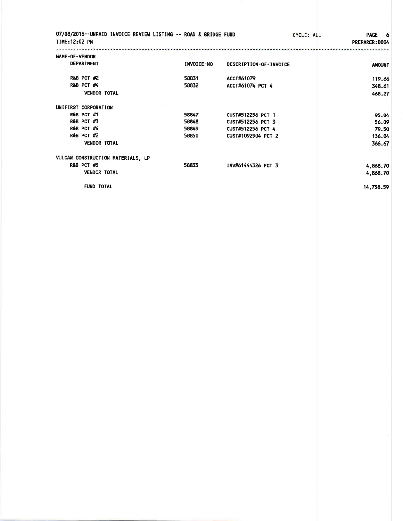| 07/08/2016--UNPAID INVOICE REVIEW LISTING -- ROAD & BRIDGE FUND<br>TIME: 12:02 PM |            | CYCLE: ALL             | PAGE 6<br>PREPARER: 0004 |
|-----------------------------------------------------------------------------------|------------|------------------------|--------------------------|
| NAME-OF-VENDOR                                                                    |            |                        |                          |
| <b>DEPARTMENT</b>                                                                 | INVOICE-NO | DESCRIPTION-OF-INVOICE | <b>AMOUNT</b>            |
| <b>R&amp;B PCT #2</b>                                                             | 58831      | ACCT#61079             | 119.66                   |
| <b>R&amp;B PCT #4</b>                                                             | 58832      | ACCT#61074 PCT 4       | 348.61                   |
| <b>VENDOR TOTAL</b>                                                               |            |                        | 468.27                   |
| UNIFIRST CORPORATION                                                              |            |                        |                          |
| <b>R&amp;B PCT #1</b>                                                             | 58847      | CUST#512256 PCT 1      | 95.04                    |
| <b>R&amp;B PCT #3</b>                                                             | 58848      | CUST#512256 PCT 3      | 56.09                    |
| <b>R&amp;B PCT #4</b>                                                             | 58849      | CUST#512256 PCT 4      | 79.50                    |
| <b>R&amp;B PCT #2</b>                                                             | 58850      | CUST#1092904 PCT 2     | 136.04                   |
| <b>VENDOR TOTAL</b>                                                               |            |                        | 366.67                   |
| VULCAN CONSTRUCTION MATERIALS, LP                                                 |            |                        |                          |
| <b>R&amp;B PCT #3</b>                                                             | 58833      | INV#61444326 PCT 3     | 4,868.70                 |
| <b>VENDOR TOTAL</b>                                                               |            |                        | 4,868.70                 |
| <b>FUND TOTAL</b>                                                                 |            |                        | 14,758.59                |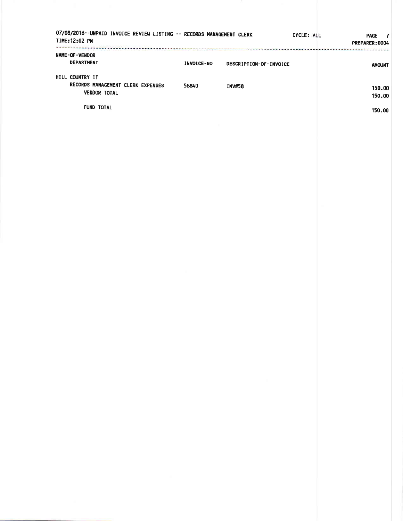| 07/08/2016--UNPAID INVOICE REVIEW LISTING -- RECORDS MANAGEMENT CLERK<br>TIME: 12:02 PM |            |                        | CYCLE: ALL | <b>PAGE</b><br>$\mathbf{7}$<br>PREPARER: 0004 |
|-----------------------------------------------------------------------------------------|------------|------------------------|------------|-----------------------------------------------|
| NAME-OF-VENDOR<br><b>DEPARTMENT</b>                                                     | INVOICE-NO | DESCRIPTION-OF-INVOICE |            | <b>AMOUNT</b>                                 |
| HILL COUNTRY IT<br>RECORDS MANAGEMENT CLERK EXPENSES<br><b>VENDOR TOTAL</b>             | 58840      | <b>INV#58</b>          |            | 150.00<br>150.00                              |
| <b>FUND TOTAL</b>                                                                       |            |                        |            | 150.00                                        |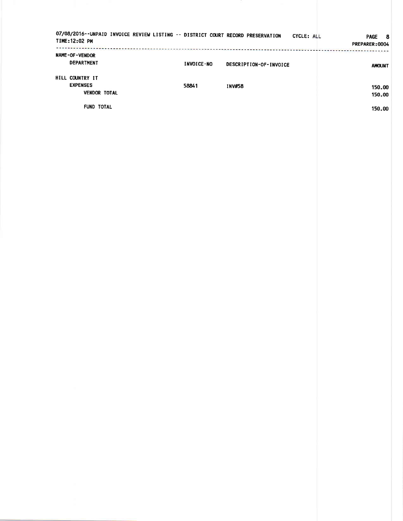| 07/08/2016--UNPAID INVOICE REVIEW LISTING -- DISTRICT COURT RECORD PRESERVATION<br>TIME:12:02 PM |            | <b>The main terms of the company's and the company's company's company's company's company's company's company's</b> | CYCLE: ALL | <b>PAGE</b><br>- 8<br>PREPARER: 0004 |
|--------------------------------------------------------------------------------------------------|------------|----------------------------------------------------------------------------------------------------------------------|------------|--------------------------------------|
| <b>NAME-OF-VENDOR</b><br><b>DEPARTMENT</b>                                                       | INVOICE-NO | DESCRIPTION-OF-INVOICE                                                                                               |            | <b>AMOUNT</b>                        |
| HILL COUNTRY IT<br><b>EXPENSES</b><br><b>VENDOR TOTAL</b>                                        | 58841      | <b>INV#58</b>                                                                                                        |            | 150.00<br>150.00                     |
| <b>FUND TOTAL</b>                                                                                |            |                                                                                                                      |            | 150.00                               |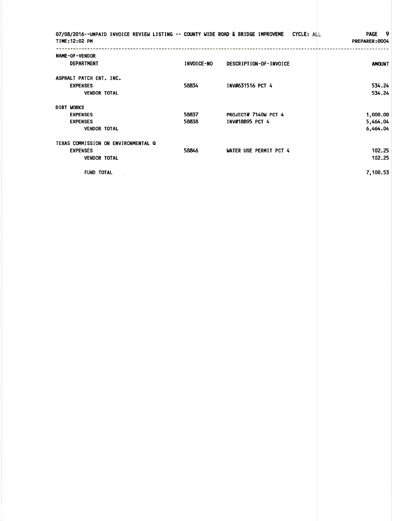| 07/08/2016--UNPAID INVOICE REVIEW LISTING -- COUNTY WIDE ROAD & BRIDGE IMPROVEME<br>TIME: 12:02 PM |                   |                                         | <b>PAGE</b><br>- 9<br>CYCLE: ALL<br>PREPARER: 0004 |
|----------------------------------------------------------------------------------------------------|-------------------|-----------------------------------------|----------------------------------------------------|
| <b>NAME-OF-VENDOR</b><br><b>DEPARTMENT</b>                                                         | <b>INVOICE-NO</b> | DESCRIPTION-OF-INVOICE                  | <b>AMOUNT</b>                                      |
| ASPHALT PATCH ENT. INC.<br><b>EXPENSES</b><br><b>VENDOR TOTAL</b>                                  | 58834             | INV#631516 PCT 4                        | 534.24<br>534.24                                   |
| DIRT WORKS<br><b>EXPENSES</b><br><b>EXPENSES</b><br><b>VENDOR TOTAL</b>                            | 58837<br>58838    | PROJECT# 7140W PCT 4<br>INV#18895 PCT 4 | 1,000.00<br>5,464.04<br>6,464.04                   |
| TEXAS COMMISSION ON ENVIRONMENTAL Q<br><b>EXPENSES</b><br><b>VENDOR TOTAL</b>                      | 58846             | WATER USE PERMIT PCT 4                  | 102.25<br>102.25                                   |
| <b>FUND TOTAL</b>                                                                                  |                   |                                         | 7,100.53                                           |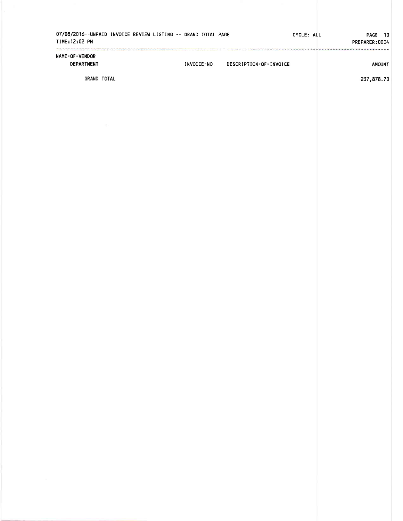| TIME: 12:02 PM                      | 07/08/2016--UNPAID INVOICE REVIEW LISTING -- GRAND TOTAL PAGE |            |                        | CYCLE: ALL | PAGE 10<br>PREPARER:0004 |
|-------------------------------------|---------------------------------------------------------------|------------|------------------------|------------|--------------------------|
| <b>NAME-OF-VENDOR</b><br>DEPARTMENT |                                                               | INVOICE-NO | DESCRIPTION-OF-INVOICE |            | <b>AMOUNT</b>            |
| <b>GRAND TOTAL</b>                  |                                                               |            |                        |            | 237,878.70               |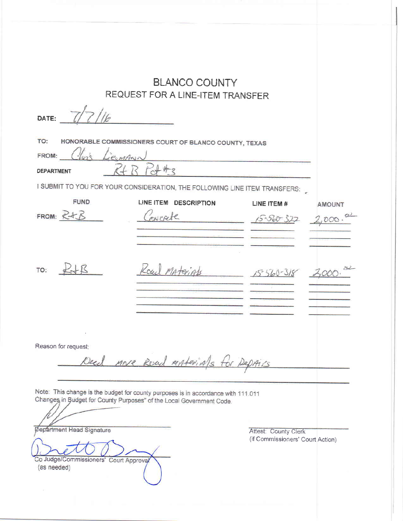|                                                                                           | <b>BLANCO COUNTY</b><br>REQUEST FOR A LINE-ITEM TRANSFER                                                                                                  |                                                          |               |  |  |  |  |
|-------------------------------------------------------------------------------------------|-----------------------------------------------------------------------------------------------------------------------------------------------------------|----------------------------------------------------------|---------------|--|--|--|--|
| DATE:                                                                                     |                                                                                                                                                           |                                                          |               |  |  |  |  |
| TO:<br>ieenAwn<br>FROM:                                                                   | HONORABLE COMMISSIONERS COURT OF BLANCO COUNTY, TEXAS                                                                                                     |                                                          |               |  |  |  |  |
| <b>DEPARTMENT</b>                                                                         |                                                                                                                                                           |                                                          |               |  |  |  |  |
|                                                                                           | I SUBMIT TO YOU FOR YOUR CONSIDERATION, THE FOLLOWING LINE ITEM TRANSFERS:                                                                                |                                                          |               |  |  |  |  |
| <b>FUND</b>                                                                               | LINE ITEM<br><b>DESCRIPTION</b>                                                                                                                           | LINE ITEM #                                              | <b>AMOUNT</b> |  |  |  |  |
| FROM: $R + B$                                                                             | owerste                                                                                                                                                   | $15 - 560 - 327$                                         | ,000.         |  |  |  |  |
|                                                                                           |                                                                                                                                                           |                                                          |               |  |  |  |  |
| IR<br>TO:                                                                                 | rail                                                                                                                                                      |                                                          |               |  |  |  |  |
|                                                                                           |                                                                                                                                                           |                                                          |               |  |  |  |  |
| Reason for request:<br>Deal nove Read materials for Def<br>AIS                            |                                                                                                                                                           |                                                          |               |  |  |  |  |
|                                                                                           | Note: This change is the budget for county purposes is in accordance with 111.011<br>Changes in Budget for County Purposes" of the Local Government Code. |                                                          |               |  |  |  |  |
| <b>Øepartment Head Signature</b><br>Co Judge/Commissioners' Court Approval<br>(as needed) |                                                                                                                                                           | Attest: County Clerk<br>(if Commissioners' Court Action) |               |  |  |  |  |

 $\sim$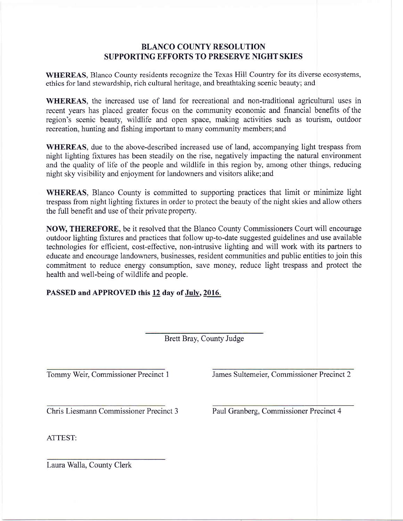## BLANCO COUNTY RESOLUTION SUPPORTING EFFORTS TO PRESERVE NIGHT SKIES

WHEREAS, Blanco County residents recognize the Texas Hill Country for its diverse ecosystems, ethics for land stewardship, rich cultural heritage, and breathtaking scenic beauty; and

WHEREAS, the increased use of land for recreational and non-traditional agricultural uses in recent years has placed greater focus on the community economic and financial benefits of the region's scenic beauty, wildlife and open space, making activities such as tourism, outdoor recreation, hunting and fishing important to many community members;and

WHEREAS, due to the above-described increased use of land, accompanying light trespass from night lighting fixtures has been steadily on the rise, negatively impacting the natural environment and the quality of life of the people and wildlife in this region by, among other things, reducing night sky visibility and enjoyment for landowners and visitors alike;and

WHEREAS, Blanco County is committed to supporting practices that limit or minimize light trespass from night lighting fixtures in order to protect the beauty of the night skies and allow others the full benefit and use of their private property.

NOW, THEREFORE, be it resolved that the Blanco County Commissioners Court will encourage outdoor lighting fixtures and practices that follow up-to-date suggested guidelines and use available technologies for effrcient, cost-effective, non-intrusive lighting and will work with its partners to educate and encourage landowners, businesses, resident communities and public entities to join this commitment to reduce energy consumption, save money, reduce light trespass and protect the health and well-being of wildlife and people.

PASSED and APPROVED this 12 day of July, 2016.

Brett Bray, County Judge

Tommy Weir, Commissioner Precinct <sup>1</sup> James Sultemeier. Commissioner Precinct 2

Chris Liesmann Commissioner Precinct 3

Paul Granberg, Commissioner Precinct 4

ATTEST:

Laura Walla, County Clerk